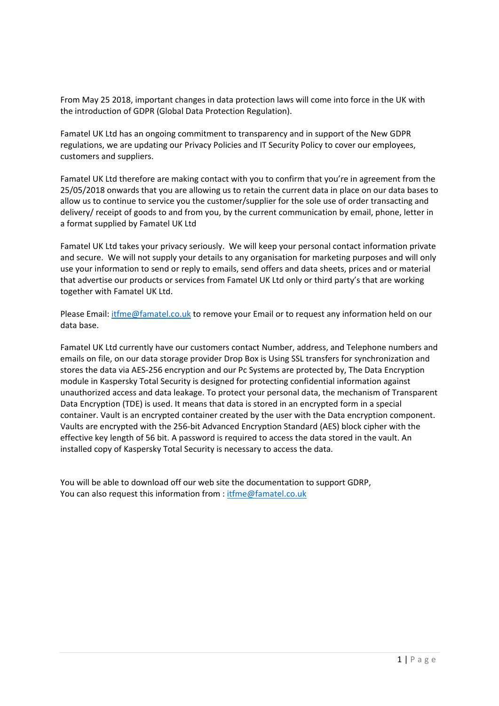From May 25 2018, important changes in data protection laws will come into force in the UK with the introduction of GDPR (Global Data Protection Regulation).

Famatel UK Ltd has an ongoing commitment to transparency and in support of the New GDPR regulations, we are updating our Privacy Policies and IT Security Policy to cover our employees, customers and suppliers.

Famatel UK Ltd therefore are making contact with you to confirm that you're in agreement from the 25/05/2018 onwards that you are allowing us to retain the current data in place on our data bases to allow us to continue to service you the customer/supplier for the sole use of order transacting and delivery/ receipt of goods to and from you, by the current communication by email, phone, letter in a format supplied by Famatel UK Ltd

Famatel UK Ltd takes your privacy seriously. We will keep your personal contact information private and secure. We will not supply your details to any organisation for marketing purposes and will only use your information to send or reply to emails, send offers and data sheets, prices and or material that advertise our products or services from Famatel UK Ltd only or third party's that are working together with Famatel UK Ltd.

Please Email: itfme@famatel.co.uk to remove your Email or to request any information held on our data base.

Famatel UK Ltd currently have our customers contact Number, address, and Telephone numbers and emails on file, on our data storage provider Drop Box is Using SSL transfers for synchronization and stores the data via AES‐256 encryption and our Pc Systems are protected by, The Data Encryption module in Kaspersky Total Security is designed for protecting confidential information against unauthorized access and data leakage. To protect your personal data, the mechanism of Transparent Data Encryption (TDE) is used. It means that data is stored in an encrypted form in a special container. Vault is an encrypted container created by the user with the Data encryption component. Vaults are encrypted with the 256‐bit Advanced Encryption Standard (AES) block cipher with the effective key length of 56 bit. A password is required to access the data stored in the vault. An installed copy of Kaspersky Total Security is necessary to access the data.

You will be able to download off our web site the documentation to support GDRP, You can also request this information from : itfme@famatel.co.uk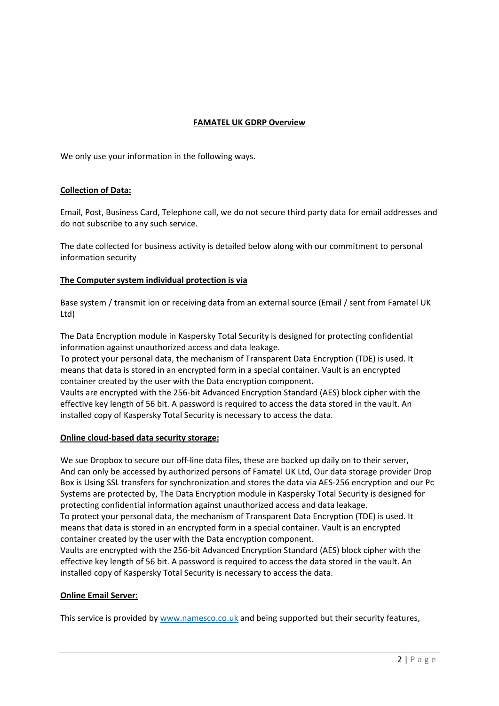# **FAMATEL UK GDRP Overview**

We only use your information in the following ways.

# **Collection of Data:**

Email, Post, Business Card, Telephone call, we do not secure third party data for email addresses and do not subscribe to any such service.

The date collected for business activity is detailed below along with our commitment to personal information security

# **The Computer system individual protection is via**

Base system / transmit ion or receiving data from an external source (Email / sent from Famatel UK Ltd)

The Data Encryption module in Kaspersky Total Security is designed for protecting confidential information against unauthorized access and data leakage.

To protect your personal data, the mechanism of Transparent Data Encryption (TDE) is used. It means that data is stored in an encrypted form in a special container. Vault is an encrypted container created by the user with the Data encryption component.

Vaults are encrypted with the 256‐bit Advanced Encryption Standard (AES) block cipher with the effective key length of 56 bit. A password is required to access the data stored in the vault. An installed copy of Kaspersky Total Security is necessary to access the data.

# **Online cloud‐based data security storage:**

We sue Dropbox to secure our off-line data files, these are backed up daily on to their server, And can only be accessed by authorized persons of Famatel UK Ltd, Our data storage provider Drop Box is Using SSL transfers for synchronization and stores the data via AES‐256 encryption and our Pc Systems are protected by, The Data Encryption module in Kaspersky Total Security is designed for protecting confidential information against unauthorized access and data leakage. To protect your personal data, the mechanism of Transparent Data Encryption (TDE) is used. It means that data is stored in an encrypted form in a special container. Vault is an encrypted container created by the user with the Data encryption component.

Vaults are encrypted with the 256‐bit Advanced Encryption Standard (AES) block cipher with the effective key length of 56 bit. A password is required to access the data stored in the vault. An installed copy of Kaspersky Total Security is necessary to access the data.

# **Online Email Server:**

This service is provided by www.namesco.co.uk and being supported but their security features,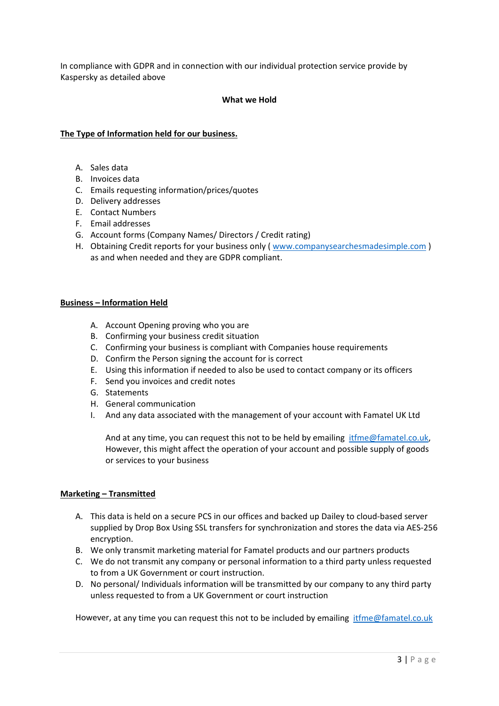In compliance with GDPR and in connection with our individual protection service provide by Kaspersky as detailed above

### **What we Hold**

### **The Type of Information held for our business.**

- A. Sales data
- B. Invoices data
- C. Emails requesting information/prices/quotes
- D. Delivery addresses
- E. Contact Numbers
- F. Email addresses
- G. Account forms (Company Names/ Directors / Credit rating)
- H. Obtaining Credit reports for your business only ( www.companysearchesmadesimple.com ) as and when needed and they are GDPR compliant.

#### **Business – Information Held**

- A. Account Opening proving who you are
- B. Confirming your business credit situation
- C. Confirming your business is compliant with Companies house requirements
- D. Confirm the Person signing the account for is correct
- E. Using this information if needed to also be used to contact company or its officers
- F. Send you invoices and credit notes
- G. Statements
- H. General communication
- I. And any data associated with the management of your account with Famatel UK Ltd

And at any time, you can request this not to be held by emailing  $it$  ifme $@$  famatel.co.uk, However, this might affect the operation of your account and possible supply of goods or services to your business

#### **Marketing – Transmitted**

- A. This data is held on a secure PCS in our offices and backed up Dailey to cloud‐based server supplied by Drop Box Using SSL transfers for synchronization and stores the data via AES‐256 encryption.
- B. We only transmit marketing material for Famatel products and our partners products
- C. We do not transmit any company or personal information to a third party unless requested to from a UK Government or court instruction.
- D. No personal/ Individuals information will be transmitted by our company to any third party unless requested to from a UK Government or court instruction

However, at any time you can request this not to be included by emailing itfme@famatel.co.uk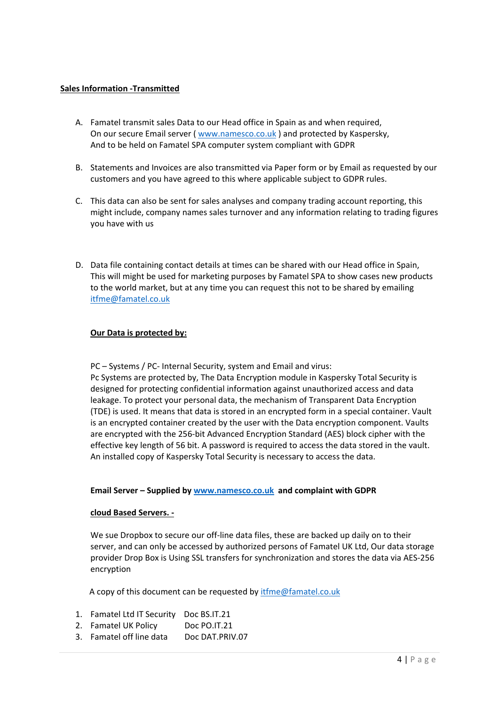# **Sales Information ‐Transmitted**

- A. Famatel transmit sales Data to our Head office in Spain as and when required, On our secure Email server ( www.namesco.co.uk ) and protected by Kaspersky, And to be held on Famatel SPA computer system compliant with GDPR
- B. Statements and Invoices are also transmitted via Paper form or by Email as requested by our customers and you have agreed to this where applicable subject to GDPR rules.
- C. This data can also be sent for sales analyses and company trading account reporting, this might include, company names sales turnover and any information relating to trading figures you have with us
- D. Data file containing contact details at times can be shared with our Head office in Spain, This will might be used for marketing purposes by Famatel SPA to show cases new products to the world market, but at any time you can request this not to be shared by emailing itfme@famatel.co.uk

# **Our Data is protected by:**

PC – Systems / PC‐ Internal Security, system and Email and virus: Pc Systems are protected by, The Data Encryption module in Kaspersky Total Security is designed for protecting confidential information against unauthorized access and data leakage. To protect your personal data, the mechanism of Transparent Data Encryption (TDE) is used. It means that data is stored in an encrypted form in a special container. Vault is an encrypted container created by the user with the Data encryption component. Vaults are encrypted with the 256‐bit Advanced Encryption Standard (AES) block cipher with the effective key length of 56 bit. A password is required to access the data stored in the vault. An installed copy of Kaspersky Total Security is necessary to access the data.

# **Email Server – Supplied by www.namesco.co.uk and complaint with GDPR**

# **cloud Based Servers. ‐**

We sue Dropbox to secure our off-line data files, these are backed up daily on to their server, and can only be accessed by authorized persons of Famatel UK Ltd, Our data storage provider Drop Box is Using SSL transfers for synchronization and stores the data via AES‐256 encryption

A copy of this document can be requested by itfme@famatel.co.uk

- 1. Famatel Ltd IT Security Doc BS.IT.21
- 2. Famatel UK Policy Doc PO.IT.21
- 3. Famatel off line data Doc DAT.PRIV.07